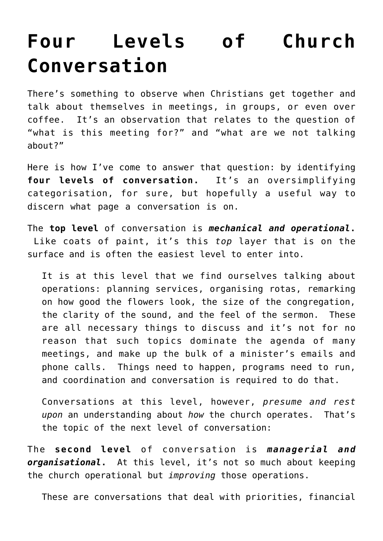## **[Four Levels of Church](https://briggs.id.au/jour/2017/01/four-levels-of-church-conversation/) [Conversation](https://briggs.id.au/jour/2017/01/four-levels-of-church-conversation/)**

There's something to observe when Christians get together and talk about themselves in meetings, in groups, or even over coffee. It's an observation that relates to the question of "what is this meeting for?" and "what are we not talking about?"

Here is how I've come to answer that question: by identifying **four levels of conversation.** It's an oversimplifying categorisation, for sure, but hopefully a useful way to discern what page a conversation is on.

The **top level** of conversation is *mechanical and operational***.** Like coats of paint, it's this *top* layer that is on the surface and is often the easiest level to enter into.

It is at this level that we find ourselves talking about operations: planning services, organising rotas, remarking on how good the flowers look, the size of the congregation, the clarity of the sound, and the feel of the sermon. These are all necessary things to discuss and it's not for no reason that such topics dominate the agenda of many meetings, and make up the bulk of a minister's emails and phone calls. Things need to happen, programs need to run, and coordination and conversation is required to do that.

Conversations at this level, however, *presume and rest upon* an understanding about *how* the church operates. That's the topic of the next level of conversation:

The **second level** of conversation is *managerial and organisational***.** At this level, it's not so much about keeping the church operational but *improving* those operations.

These are conversations that deal with priorities, financial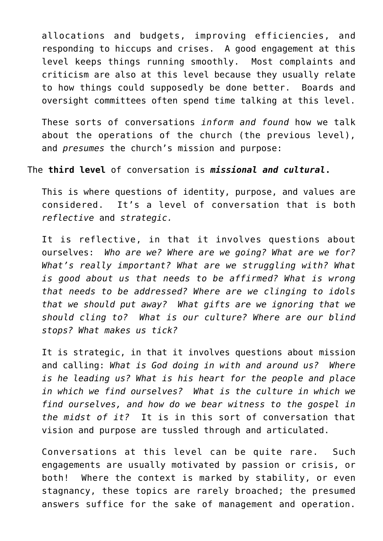allocations and budgets, improving efficiencies, and responding to hiccups and crises. A good engagement at this level keeps things running smoothly. Most complaints and criticism are also at this level because they usually relate to how things could supposedly be done better. Boards and oversight committees often spend time talking at this level.

These sorts of conversations *inform and found* how we talk about the operations of the church (the previous level), and *presumes* the church's mission and purpose:

## The **third level** of conversation is *missional and cultural***.**

This is where questions of identity, purpose, and values are considered. It's a level of conversation that is both *reflective* and *strategic.* 

It is reflective, in that it involves questions about ourselves: *Who are we? Where are we going? What are we for? What's really important? What are we struggling with? What is good about us that needs to be affirmed? What is wrong that needs to be addressed? Where are we clinging to idols that we should put away? What gifts are we ignoring that we should cling to? What is our culture? Where are our blind stops? What makes us tick?*

It is strategic, in that it involves questions about mission and calling: *What is God doing in with and around us? Where is he leading us? What is his heart for the people and place in which we find ourselves? What is the culture in which we find ourselves, and how do we bear witness to the gospel in the midst of it?* It is in this sort of conversation that vision and purpose are tussled through and articulated.

Conversations at this level can be quite rare. Such engagements are usually motivated by passion or crisis, or both! Where the context is marked by stability, or even stagnancy, these topics are rarely broached; the presumed answers suffice for the sake of management and operation.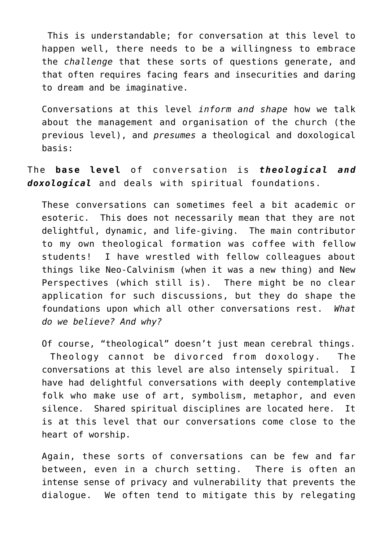This is understandable; for conversation at this level to happen well, there needs to be a willingness to embrace the *challenge* that these sorts of questions generate, and that often requires facing fears and insecurities and daring to dream and be imaginative.

Conversations at this level *inform and shape* how we talk about the management and organisation of the church (the previous level), and *presumes* a theological and doxological basis:

The **base level** of conversation is *theological and doxological* and deals with spiritual foundations.

These conversations can sometimes feel a bit academic or esoteric. This does not necessarily mean that they are not delightful, dynamic, and life-giving. The main contributor to my own theological formation was coffee with fellow students! I have wrestled with fellow colleagues about things like Neo-Calvinism (when it was a new thing) and New Perspectives (which still is). There might be no clear application for such discussions, but they do shape the foundations upon which all other conversations rest. *What do we believe? And why?*

Of course, "theological" doesn't just mean cerebral things. Theology cannot be divorced from doxology. The conversations at this level are also intensely spiritual. I have had delightful conversations with deeply contemplative folk who make use of art, symbolism, metaphor, and even silence. Shared spiritual disciplines are located here. It is at this level that our conversations come close to the heart of worship.

Again, these sorts of conversations can be few and far between, even in a church setting. There is often an intense sense of privacy and vulnerability that prevents the dialogue. We often tend to mitigate this by relegating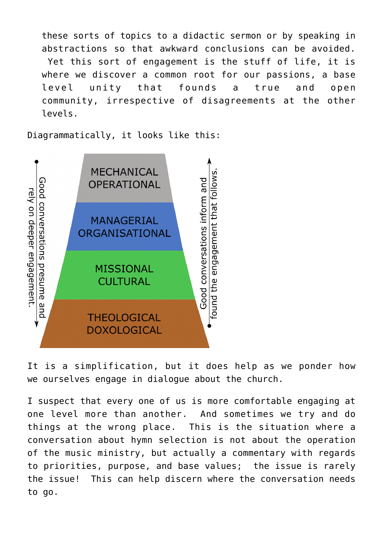these sorts of topics to a didactic sermon or by speaking in abstractions so that awkward conclusions can be avoided. Yet this sort of engagement is the stuff of life, it is where we discover a common root for our passions, a base level unity that founds a true and open community, irrespective of disagreements at the other levels.

Diagrammatically, it looks like this:



It is a simplification, but it does help as we ponder how we ourselves engage in dialogue about the church.

I suspect that every one of us is more comfortable engaging at one level more than another. And sometimes we try and do things at the wrong place. This is the situation where a conversation about hymn selection is not about the operation of the music ministry, but actually a commentary with regards to priorities, purpose, and base values; the issue is rarely the issue! This can help discern where the conversation needs to go.